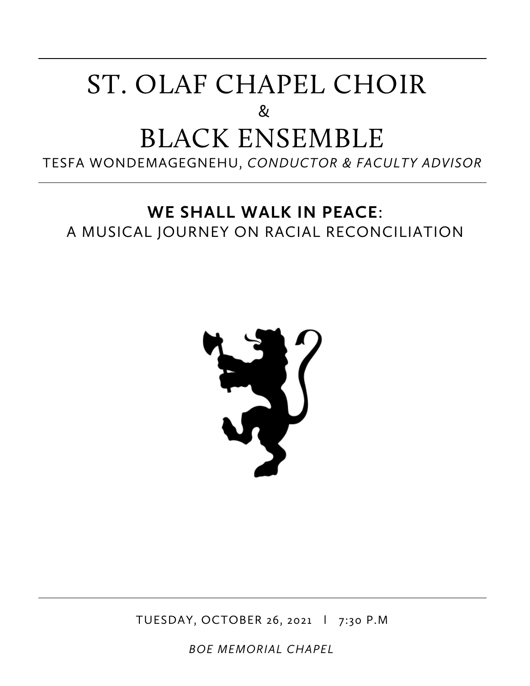# ST. OLAF CHAPEL CHOIR & BLACK ENSEMBLE

TESFA WONDEMAGEGNEHU, *CONDUCTOR & FACULTY ADVISOR*

## **WE SHALL WALK IN PEACE**: A MUSICAL JOURNEY ON RACIAL RECONCILIATION



TUESDAY, OCTOBER 26, 2021 l 7:30 P.M

*BOE MEMORIAL CHAPEL*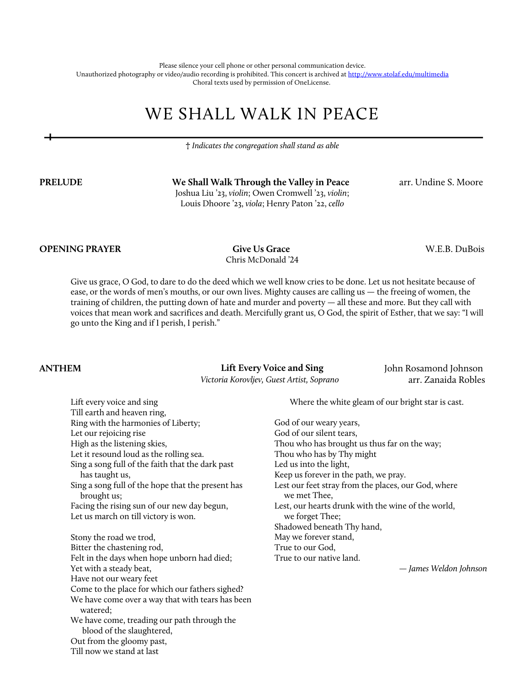Please silence your cell phone or other personal communication device. Unauthorized photography or video/audio recording is prohibited. This concert is archived at http://www.stolaf.edu/multimedia Choral texts used by permission of OneLicense.

## WE SHALL WALK IN PEACE

**†** *Indicates the congregation shall stand as able*

**PRELUDE** We Shall Walk Through the Valley in Peace **arr.** Undine S. Moore Joshua Liu '23, *violin*; Owen Cromwell '23, *violin*; Louis Dhoore '23, *viola*; Henry Paton '22, *cello*

**OPENING PRAYER Give Us Grace Server All Schools Associates** Give Us Grace Server All Schools Av.E.B. DuBois

Chris McDonald '24

Give us grace, O God, to dare to do the deed which we well know cries to be done. Let us not hesitate because of ease, or the words of men's mouths, or our own lives. Mighty causes are calling us — the freeing of women, the training of children, the putting down of hate and murder and poverty — all these and more. But they call with voices that mean work and sacrifices and death. Mercifully grant us, O God, the spirit of Esther, that we say: "I will go unto the King and if I perish, I perish."

**ANTHEM Lift Every Voice and Sing** John Rosamond Johnson  *Victoria Korovljev, Guest Artist, Soprano* arr. Zanaida Robles

Where the white gleam of our bright star is cast.

God of our weary years, God of our silent tears, Thou who has brought us thus far on the way; Thou who has by Thy might Led us into the light, Keep us forever in the path, we pray. Lest our feet stray from the places, our God, where we met Thee, Lest, our hearts drunk with the wine of the world, we forget Thee; Shadowed beneath Thy hand, May we forever stand, True to our God, True to our native land.

 *— James Weldon Johnson*

Till earth and heaven ring, Ring with the harmonies of Liberty; Let our rejoicing rise High as the listening skies, Let it resound loud as the rolling sea. Sing a song full of the faith that the dark past has taught us, Sing a song full of the hope that the present has brought us; Facing the rising sun of our new day begun, Let us march on till victory is won. Stony the road we trod, Bitter the chastening rod, Felt in the days when hope unborn had died; Yet with a steady beat, Have not our weary feet Come to the place for which our fathers sighed? We have come over a way that with tears has been watered; We have come, treading our path through the blood of the slaughtered,

Lift every voice and sing

Out from the gloomy past, Till now we stand at last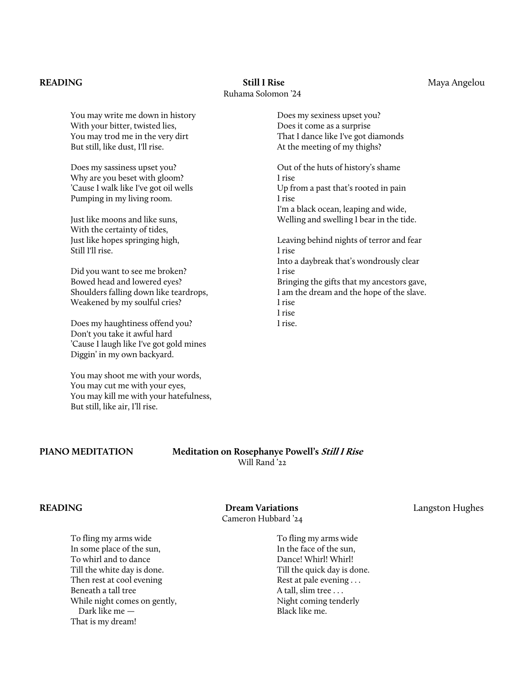### **READING Still I Rise Still I Rise Maya Angelou** Ruhama Solomon '24

You may write me down in history With your bitter, twisted lies, You may trod me in the very dirt But still, like dust, I'll rise.

Does my sassiness upset you? Why are you beset with gloom? 'Cause I walk like I've got oil wells Pumping in my living room.

Just like moons and like suns, With the certainty of tides, Just like hopes springing high, Still I'll rise.

Did you want to see me broken? Bowed head and lowered eyes? Shoulders falling down like teardrops, Weakened by my soulful cries?

Does my haughtiness offend you? Don't you take it awful hard 'Cause I laugh like I've got gold mines Diggin' in my own backyard.

You may shoot me with your words, You may cut me with your eyes, You may kill me with your hatefulness, But still, like air, I'll rise.

Does my sexiness upset you? Does it come as a surprise That I dance like I've got diamonds At the meeting of my thighs?

Out of the huts of history's shame I rise Up from a past that's rooted in pain I rise I'm a black ocean, leaping and wide, Welling and swelling I bear in the tide.

Leaving behind nights of terror and fear I rise Into a daybreak that's wondrously clear I rise Bringing the gifts that my ancestors gave, I am the dream and the hope of the slave. I rise I rise I rise.

**PIANO MEDITATION Meditation on Rosephanye Powell's Still I Rise**  Will Rand '22

To fling my arms wide In some place of the sun, To whirl and to dance Till the white day is done. Then rest at cool evening Beneath a tall tree While night comes on gently, Dark like me — That is my dream!

### **READING Dream Variations Dream Variations Langston Hughes** Cameron Hubbard '24

To fling my arms wide In the face of the sun, Dance! Whirl! Whirl! Till the quick day is done. Rest at pale evening . . . A tall, slim tree . . . Night coming tenderly Black like me.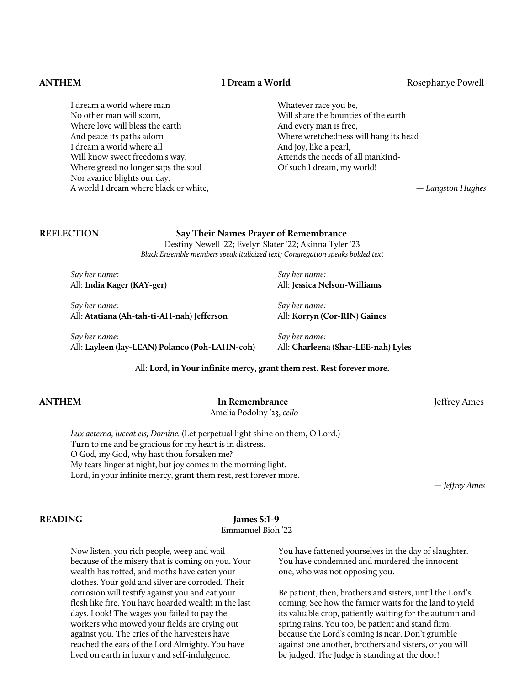**ANTHEM I Dream a World** Rosephanye Powell

I dream a world where man No other man will scorn, Where love will bless the earth And peace its paths adorn I dream a world where all Will know sweet freedom's way, Where greed no longer saps the soul Nor avarice blights our day. A world I dream where black or white,

### Whatever race you be, Will share the bounties of the earth And every man is free, Where wretchedness will hang its head And joy, like a pearl, Attends the needs of all mankind-Of such I dream, my world!

— *Langston Hughes*

### **REFLECTION Say Their Names Prayer of Remembrance**

Destiny Newell '22; Evelyn Slater '22; Akinna Tyler '23 *Black Ensemble members speak italicized text; Congregation speaks bolded text*

*Say her name:* All: **India Kager (KAY-ger)**

*Say her name:* All: **Atatiana (Ah-tah-ti-AH-nah) Jefferson**

*Say her name:* All: **Layleen (lay-LEAN) Polanco (Poh-LAHN-coh)** *Say her name:*  All: **Jessica Nelson-Williams**

*Say her name:* All: **Korryn (Cor-RIN) Gaines**

*Say her name:* All: **Charleena (Shar-LEE-nah) Lyles**

### All: **Lord, in Your infinite mercy, grant them rest. Rest forever more.**

**ANTHEM In Remembrance Jeffrey Ames** Amelia Podolny '23, *cello*

*Lux aeterna, luceat eis, Domine.* (Let perpetual light shine on them, O Lord.) Turn to me and be gracious for my heart is in distress. O God, my God, why hast thou forsaken me? My tears linger at night, but joy comes in the morning light. Lord, in your infinite mercy, grant them rest, rest forever more.

*— Jeffrey Ames*

### **READING James 5:1-9**

Emmanuel Bioh '22

Now listen, you rich people, weep and wail because of the misery that is coming on you. Your wealth has rotted, and moths have eaten your clothes. Your gold and silver are corroded. Their corrosion will testify against you and eat your flesh like fire. You have hoarded wealth in the last days. Look! The wages you failed to pay the workers who mowed your fields are crying out against you. The cries of the harvesters have reached the ears of the Lord Almighty. You have lived on earth in luxury and self-indulgence.

You have fattened yourselves in the day of slaughter. You have condemned and murdered the innocent one, who was not opposing you.

Be patient, then, brothers and sisters, until the Lord's coming. See how the farmer waits for the land to yield its valuable crop, patiently waiting for the autumn and spring rains. You too, be patient and stand firm, because the Lord's coming is near. Don't grumble against one another, brothers and sisters, or you will be judged. The Judge is standing at the door!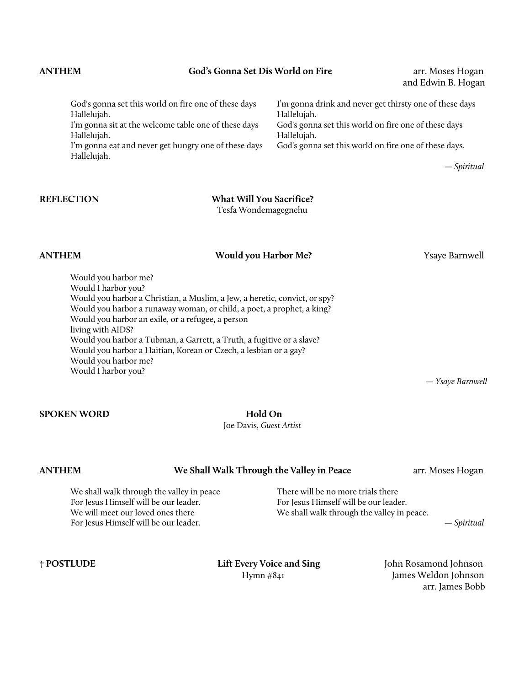### **ANTHEM God's Gonna Set Dis World on Fire** arr. Moses Hogan

and Edwin B. Hogan

| God's gonna set this world on fire one of these days | I'm gonna drink and never get thirsty one of these days |
|------------------------------------------------------|---------------------------------------------------------|
| Hallelujah.                                          | Hallelujah.                                             |
| I'm gonna sit at the welcome table one of these days | God's gonna set this world on fire one of these days    |
| Hallelujah.                                          | Hallelujah.                                             |
| I'm gonna eat and never get hungry one of these days | God's gonna set this world on fire one of these days.   |
| Hallelujah.                                          |                                                         |

 *— Spiritual*

### **REFLECTION What Will You Sacrifice?**

Tesfa Wondemagegnehu

### ANTHEM Would you Harbor Me? Ysaye Barnwell

| Would you harbor me?                                                       |
|----------------------------------------------------------------------------|
| Would I harbor you?                                                        |
| Would you harbor a Christian, a Muslim, a Jew, a heretic, convict, or spy? |
| Would you harbor a runaway woman, or child, a poet, a prophet, a king?     |
| Would you harbor an exile, or a refugee, a person                          |
| living with AIDS?                                                          |
| Would you harbor a Tubman, a Garrett, a Truth, a fugitive or a slave?      |
| Would you harbor a Haitian, Korean or Czech, a lesbian or a gay?           |
| Would you harbor me?                                                       |
| Would I harbor you?                                                        |

— *Ysaye Barnwell*

### **SPOKEN WORD Hold On**

We shall walk through the valley in peace For Jesus Himself will be our leader. We will meet our loved ones there For Jesus Himself will be our leader.

### Joe Davis, *Guest Artist*

### **ANTHEM We Shall Walk Through the Valley in Peace** arr. Moses Hogan

There will be no more trials there For Jesus Himself will be our leader. We shall walk through the valley in peace.

 *— Spiritual*

**† POSTLUDE Lift Every Voice and Sing** John Rosamond Johnson

 Hymn #841 James Weldon Johnson arr. James Bobb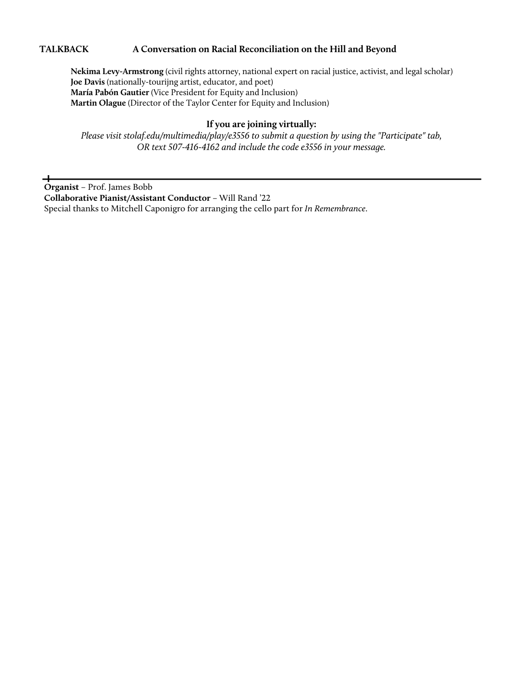### **TALKBACK A Conversation on Racial Reconciliation on the Hill and Beyond**

**Nekima Levy-Armstrong** (civil rights attorney, national expert on racial justice, activist, and legal scholar) **Joe Davis** (nationally-tourijng artist, educator, and poet) **María Pabón Gautier** (Vice President for Equity and Inclusion) **Martin Olague** (Director of the Taylor Center for Equity and Inclusion)

### **If you are joining virtually:**

*Please visit stolaf.edu/multimedia/play/e*3556 *to submit a question by using the "Participate" tab, OR text* 507*-*416*-*4162 *and include the code e*3556 *in your message.*

ᆠ **Organist** – Prof. James Bobb

**Collaborative Pianist/Assistant Conductor** – Will Rand '22 Special thanks to Mitchell Caponigro for arranging the cello part for *In Remembrance*.